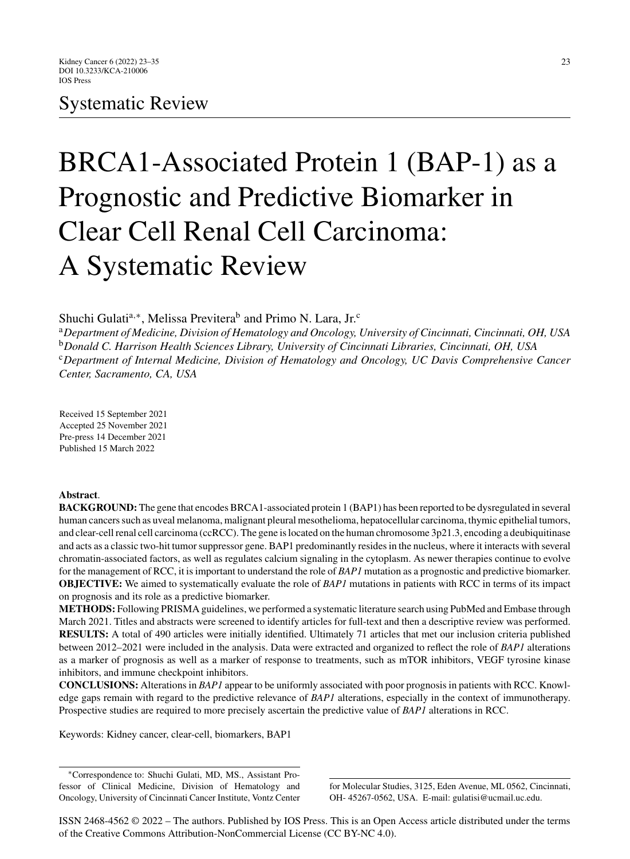# Systematic Review

# BRCA1-Associated Protein 1 (BAP-1) as a Prognostic and Predictive Biomarker in Clear Cell Renal Cell Carcinoma: A Systematic Review

Shuchi Gulati<sup>a,∗</sup>, Melissa Previtera<sup>b</sup> and Primo N. Lara, Jr.<sup>c</sup>

<sup>a</sup>*Department of Medicine, Division of Hematology and Oncology, University of Cincinnati, Cincinnati, OH, USA* <sup>b</sup>*Donald C. Harrison Health Sciences Library, University of Cincinnati Libraries, Cincinnati, OH, USA* <sup>c</sup>*Department of Internal Medicine, Division of Hematology and Oncology, UC Davis Comprehensive Cancer Center, Sacramento, CA, USA*

Received 15 September 2021 Accepted 25 November 2021 Pre-press 14 December 2021 Published 15 March 2022

# **Abstract**.

**BACKGROUND:** The gene that encodes BRCA1-associated protein 1 (BAP1) has been reported to be dysregulated in several human cancers such as uveal melanoma, malignant pleural mesothelioma, hepatocellular carcinoma, thymic epithelial tumors, and clear-cell renal cell carcinoma (ccRCC). The gene is located on the human chromosome 3p21.3, encoding a deubiquitinase and acts as a classic two-hit tumor suppressor gene. BAP1 predominantly resides in the nucleus, where it interacts with several chromatin-associated factors, as well as regulates calcium signaling in the cytoplasm. As newer therapies continue to evolve for the management of RCC, it is important to understand the role of *BAP1* mutation as a prognostic and predictive biomarker. **OBJECTIVE:** We aimed to systematically evaluate the role of *BAP1* mutations in patients with RCC in terms of its impact on prognosis and its role as a predictive biomarker.

**METHODS:** Following PRISMA guidelines, we performed a systematic literature search using PubMed and Embase through March 2021. Titles and abstracts were screened to identify articles for full-text and then a descriptive review was performed. **RESULTS:** A total of 490 articles were initially identified. Ultimately 71 articles that met our inclusion criteria published between 2012–2021 were included in the analysis. Data were extracted and organized to reflect the role of *BAP1* alterations as a marker of prognosis as well as a marker of response to treatments, such as mTOR inhibitors, VEGF tyrosine kinase inhibitors, and immune checkpoint inhibitors.

**CONCLUSIONS:** Alterations in *BAP1* appear to be uniformly associated with poor prognosis in patients with RCC. Knowledge gaps remain with regard to the predictive relevance of *BAP1* alterations, especially in the context of immunotherapy. Prospective studies are required to more precisely ascertain the predictive value of *BAP1* alterations in RCC.

Keywords: Kidney cancer, clear-cell, biomarkers, BAP1

for Molecular Studies, 3125, Eden Avenue, ML 0562, Cincinnati, OH- 45267-0562, USA. E-mail: [gulatisi@ucmail.uc.edu.](mailto:gulatisi@ucmail.uc.edu)

ISSN 2468-4562 © 2022 – The authors. Published by IOS Press. This is an Open Access article distributed under the terms of the [Creative Commons Attribution-NonCommercial License \(CC BY-NC 4.0\).](https://creativecommons.org/licenses/by/4.0/)

<sup>∗</sup>Correspondence to: Shuchi Gulati, MD, MS., Assistant Professor of Clinical Medicine, Division of Hematology and Oncology, University of Cincinnati Cancer Institute, Vontz Center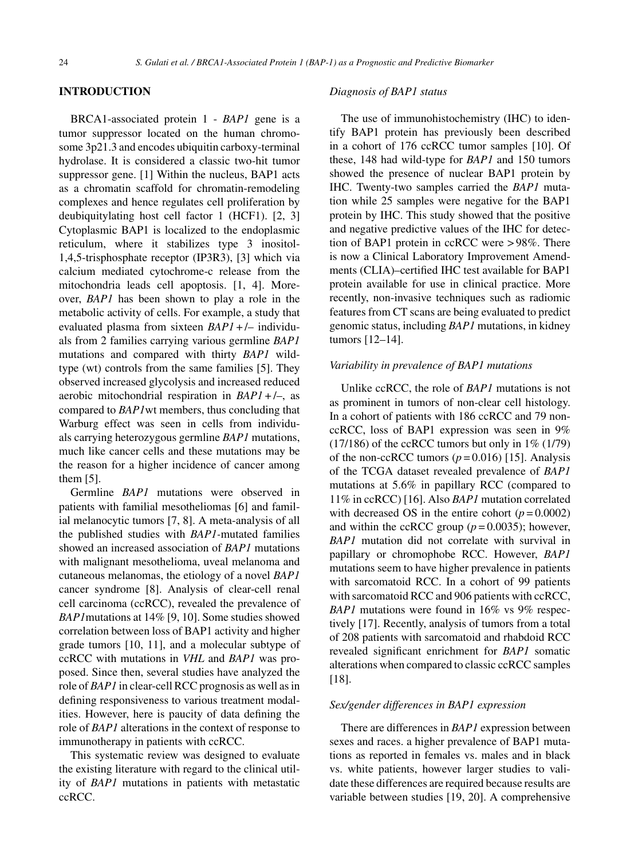#### **INTRODUCTION**

BRCA1-associated protein 1 - *BAP1* gene is a tumor suppressor located on the human chromosome 3p21.3 and encodes ubiquitin carboxy-terminal hydrolase. It is considered a classic two-hit tumor suppressor gene. [1] Within the nucleus, BAP1 acts as a chromatin scaffold for chromatin-remodeling complexes and hence regulates cell proliferation by deubiquitylating host cell factor 1 (HCF1). [2, 3] Cytoplasmic BAP1 is localized to the endoplasmic reticulum, where it stabilizes type 3 inositol-1,4,5-trisphosphate receptor (IP3R3), [3] which via calcium mediated cytochrome-c release from the mitochondria leads cell apoptosis. [1, 4]. Moreover, *BAP1* has been shown to play a role in the metabolic activity of cells. For example, a study that evaluated plasma from sixteen *BAP1* + /– individuals from 2 families carrying various germline *BAP1* mutations and compared with thirty *BAP1* wildtype (wt) controls from the same families [5]. They observed increased glycolysis and increased reduced aerobic mitochondrial respiration in *BAP1* + /–, as compared to *BAP1*wt members, thus concluding that Warburg effect was seen in cells from individuals carrying heterozygous germline *BAP1* mutations, much like cancer cells and these mutations may be the reason for a higher incidence of cancer among them [5].

Germline *BAP1* mutations were observed in patients with familial mesotheliomas [6] and familial melanocytic tumors [7, 8]. A meta-analysis of all the published studies with *BAP1-*mutated families showed an increased association of *BAP1* mutations with malignant mesothelioma, uveal melanoma and cutaneous melanomas, the etiology of a novel *BAP1* cancer syndrome [8]. Analysis of clear-cell renal cell carcinoma (ccRCC), revealed the prevalence of *BAP1*mutations at 14% [9, 10]. Some studies showed correlation between loss of BAP1 activity and higher grade tumors [10, 11], and a molecular subtype of ccRCC with mutations in *VHL* and *BAP1* was proposed. Since then, several studies have analyzed the role of *BAP1* in clear-cell RCC prognosis as well as in defining responsiveness to various treatment modalities. However, here is paucity of data defining the role of *BAP1* alterations in the context of response to immunotherapy in patients with ccRCC.

This systematic review was designed to evaluate the existing literature with regard to the clinical utility of *BAP1* mutations in patients with metastatic ccRCC.

#### *Diagnosis of BAP1 status*

The use of immunohistochemistry (IHC) to identify BAP1 protein has previously been described in a cohort of 176 ccRCC tumor samples [10]. Of these, 148 had wild-type for *BAP1* and 150 tumors showed the presence of nuclear BAP1 protein by IHC. Twenty-two samples carried the *BAP1* mutation while 25 samples were negative for the BAP1 protein by IHC. This study showed that the positive and negative predictive values of the IHC for detection of BAP1 protein in ccRCC were > 98%. There is now a Clinical Laboratory Improvement Amendments (CLIA)–certified IHC test available for BAP1 protein available for use in clinical practice. More recently, non-invasive techniques such as radiomic features from CT scans are being evaluated to predict genomic status, including *BAP1* mutations, in kidney tumors [12–14].

#### *Variability in prevalence of BAP1 mutations*

Unlike ccRCC, the role of *BAP1* mutations is not as prominent in tumors of non-clear cell histology. In a cohort of patients with 186 ccRCC and 79 nonccRCC, loss of BAP1 expression was seen in 9%  $(17/186)$  of the ccRCC tumors but only in  $1\%$   $(1/79)$ of the non-ccRCC tumors  $(p=0.016)$  [15]. Analysis of the TCGA dataset revealed prevalence of *BAP1* mutations at 5.6% in papillary RCC (compared to 11% in ccRCC) [16]. Also *BAP1* mutation correlated with decreased OS in the entire cohort  $(p = 0.0002)$ and within the ccRCC group  $(p=0.0035)$ ; however, *BAP1* mutation did not correlate with survival in papillary or chromophobe RCC. However, *BAP1* mutations seem to have higher prevalence in patients with sarcomatoid RCC. In a cohort of 99 patients with sarcomatoid RCC and 906 patients with ccRCC, *BAP1* mutations were found in 16% vs 9% respectively [17]. Recently, analysis of tumors from a total of 208 patients with sarcomatoid and rhabdoid RCC revealed significant enrichment for *BAP1* somatic alterations when compared to classic ccRCC samples [18].

# *Sex/gender differences in BAP1 expression*

There are differences in *BAP1* expression between sexes and races. a higher prevalence of BAP1 mutations as reported in females vs. males and in black vs. white patients, however larger studies to validate these differences are required because results are variable between studies [19, 20]. A comprehensive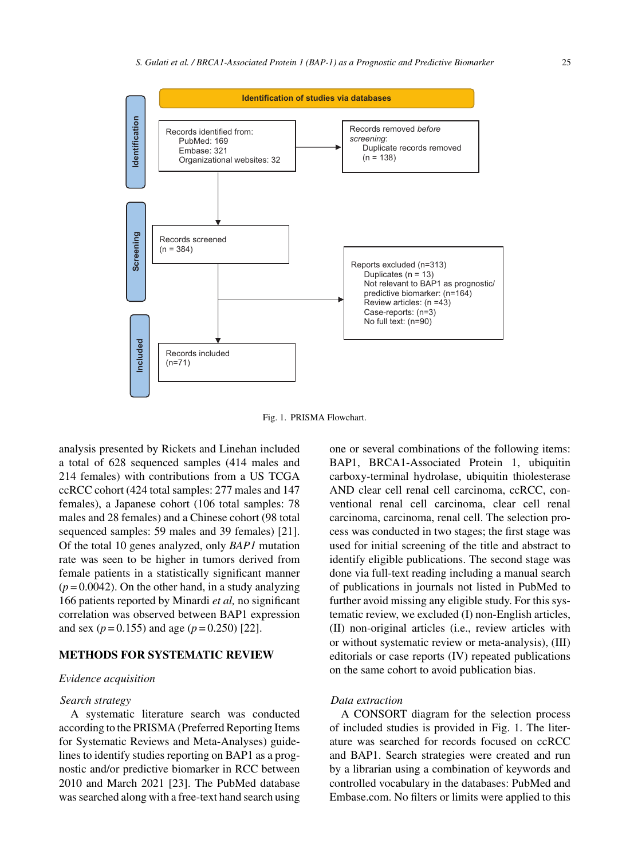

Fig. 1. PRISMA Flowchart.

analysis presented by Rickets and Linehan included a total of 628 sequenced samples (414 males and 214 females) with contributions from a US TCGA ccRCC cohort (424 total samples: 277 males and 147 females), a Japanese cohort (106 total samples: 78 males and 28 females) and a Chinese cohort (98 total sequenced samples: 59 males and 39 females) [21]. Of the total 10 genes analyzed, only *BAP1* mutation rate was seen to be higher in tumors derived from female patients in a statistically significant manner  $(p=0.0042)$ . On the other hand, in a study analyzing 166 patients reported by Minardi *et al,* no significant correlation was observed between BAP1 expression and sex  $(p = 0.155)$  and age  $(p = 0.250)$  [22].

# **METHODS FOR SYSTEMATIC REVIEW**

# *Evidence acquisition*

#### *Search strategy*

A systematic literature search was conducted according to the PRISMA (Preferred Reporting Items for Systematic Reviews and Meta-Analyses) guidelines to identify studies reporting on BAP1 as a prognostic and/or predictive biomarker in RCC between 2010 and March 2021 [23]. The PubMed database was searched along with a free-text hand search using one or several combinations of the following items: BAP1, BRCA1-Associated Protein 1, ubiquitin carboxy-terminal hydrolase, ubiquitin thiolesterase AND clear cell renal cell carcinoma, ccRCC, conventional renal cell carcinoma, clear cell renal carcinoma, carcinoma, renal cell. The selection process was conducted in two stages; the first stage was used for initial screening of the title and abstract to identify eligible publications. The second stage was done via full-text reading including a manual search of publications in journals not listed in PubMed to further avoid missing any eligible study. For this systematic review, we excluded (I) non-English articles, (II) non-original articles (i.e., review articles with or without systematic review or meta-analysis), (III) editorials or case reports (IV) repeated publications on the same cohort to avoid publication bias.

# *Data extraction*

A CONSORT diagram for the selection process of included studies is provided in Fig. 1. The literature was searched for records focused on ccRCC and BAP1. Search strategies were created and run by a librarian using a combination of keywords and controlled vocabulary in the databases: PubMed and Embase.com. No filters or limits were applied to this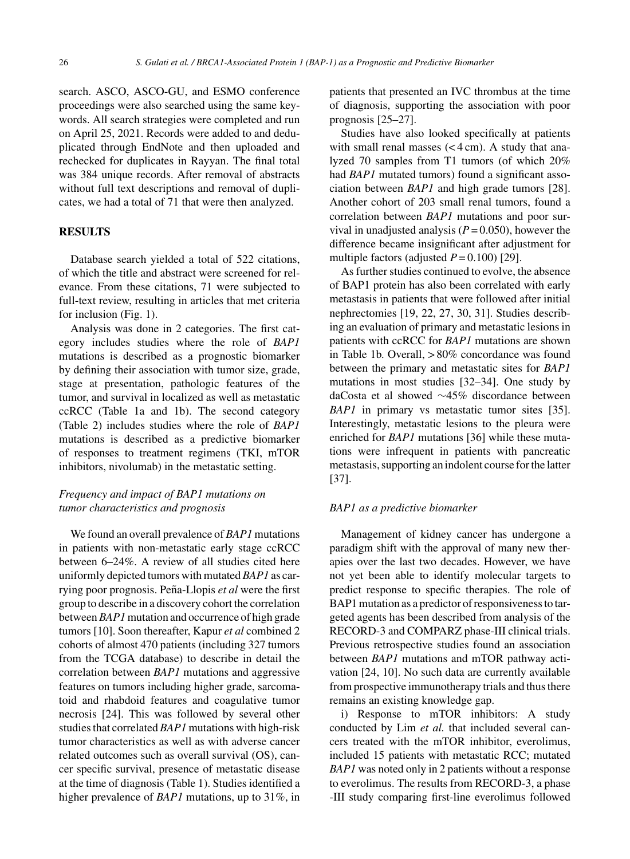search. ASCO, ASCO-GU, and ESMO conference proceedings were also searched using the same keywords. All search strategies were completed and run on April 25, 2021. Records were added to and deduplicated through EndNote and then uploaded and rechecked for duplicates in Rayyan. The final total was 384 unique records. After removal of abstracts without full text descriptions and removal of duplicates, we had a total of 71 that were then analyzed.

#### **RESULTS**

Database search yielded a total of 522 citations, of which the title and abstract were screened for relevance. From these citations, 71 were subjected to full-text review, resulting in articles that met criteria for inclusion (Fig. 1).

Analysis was done in 2 categories. The first category includes studies where the role of *BAP1* mutations is described as a prognostic biomarker by defining their association with tumor size, grade, stage at presentation, pathologic features of the tumor, and survival in localized as well as metastatic ccRCC (Table 1a and 1b). The second category (Table 2) includes studies where the role of *BAP1* mutations is described as a predictive biomarker of responses to treatment regimens (TKI, mTOR inhibitors, nivolumab) in the metastatic setting.

# *Frequency and impact of BAP1 mutations on tumor characteristics and prognosis*

We found an overall prevalence of *BAP1* mutations in patients with non-metastatic early stage ccRCC between 6–24%. A review of all studies cited here uniformly depicted tumors with mutated *BAP1* as carrying poor prognosis. Peña-Llopis et al were the first group to describe in a discovery cohort the correlation between*BAP1*mutation and occurrence of high grade tumors [10]. Soon thereafter, Kapur *et al* combined 2 cohorts of almost 470 patients (including 327 tumors from the TCGA database) to describe in detail the correlation between *BAP1* mutations and aggressive features on tumors including higher grade, sarcomatoid and rhabdoid features and coagulative tumor necrosis [24]. This was followed by several other studies that correlated *BAP1* mutations with high-risk tumor characteristics as well as with adverse cancer related outcomes such as overall survival (OS), cancer specific survival, presence of metastatic disease at the time of diagnosis (Table 1). Studies identified a higher prevalence of *BAP1* mutations, up to 31%, in

patients that presented an IVC thrombus at the time of diagnosis, supporting the association with poor prognosis [25–27].

Studies have also looked specifically at patients with small renal masses  $( $4 \text{ cm}$ ). A study that ana$ lyzed 70 samples from T1 tumors (of which 20% had *BAP1* mutated tumors) found a significant association between *BAP1* and high grade tumors [28]. Another cohort of 203 small renal tumors, found a correlation between *BAP1* mutations and poor survival in unadjusted analysis  $(P = 0.050)$ , however the difference became insignificant after adjustment for multiple factors (adjusted  $P = 0.100$ ) [29].

As further studies continued to evolve, the absence of BAP1 protein has also been correlated with early metastasis in patients that were followed after initial nephrectomies [19, 22, 27, 30, 31]. Studies describing an evaluation of primary and metastatic lesions in patients with ccRCC for *BAP1* mutations are shown in Table 1b. Overall, > 80% concordance was found between the primary and metastatic sites for *BAP1* mutations in most studies [32–34]. One study by daCosta et al showed ∼45% discordance between *BAP1* in primary vs metastatic tumor sites [35]. Interestingly, metastatic lesions to the pleura were enriched for *BAP1* mutations [36] while these mutations were infrequent in patients with pancreatic metastasis, supporting an indolent course for the latter [37].

# *BAP1 as a predictive biomarker*

Management of kidney cancer has undergone a paradigm shift with the approval of many new therapies over the last two decades. However, we have not yet been able to identify molecular targets to predict response to specific therapies. The role of BAP1 mutation as a predictor of responsiveness to targeted agents has been described from analysis of the RECORD-3 and COMPARZ phase-III clinical trials. Previous retrospective studies found an association between *BAP1* mutations and mTOR pathway activation [24, 10]. No such data are currently available from prospective immunotherapy trials and thus there remains an existing knowledge gap.

i) Response to mTOR inhibitors: A study conducted by Lim *et al.* that included several cancers treated with the mTOR inhibitor, everolimus, included 15 patients with metastatic RCC; mutated *BAP1* was noted only in 2 patients without a response to everolimus. The results from RECORD-3, a phase -III study comparing first-line everolimus followed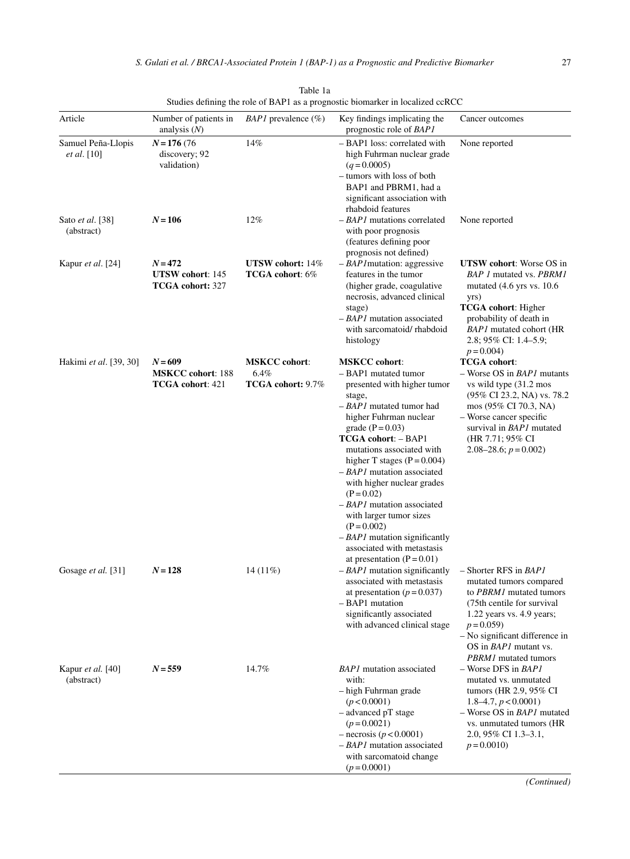| Article                                  | Number of patients in<br>analysis $(N)$                         | <i>BAP1</i> prevalence $(\%)$                     | Key findings implicating the<br>prognostic role of BAP1                                                                                                                                                                                                                                                                                                                                                                                                                                                                  | Cancer outcomes                                                                                                                                                                                                                                           |
|------------------------------------------|-----------------------------------------------------------------|---------------------------------------------------|--------------------------------------------------------------------------------------------------------------------------------------------------------------------------------------------------------------------------------------------------------------------------------------------------------------------------------------------------------------------------------------------------------------------------------------------------------------------------------------------------------------------------|-----------------------------------------------------------------------------------------------------------------------------------------------------------------------------------------------------------------------------------------------------------|
| Samuel Peña-Llopis<br><i>et al.</i> [10] | $N = 176(76)$<br>discovery; 92<br>validation)                   | 14%                                               | - BAP1 loss: correlated with<br>high Fuhrman nuclear grade<br>$(q=0.0005)$<br>- tumors with loss of both<br>BAP1 and PBRM1, had a<br>significant association with<br>rhabdoid features                                                                                                                                                                                                                                                                                                                                   | None reported                                                                                                                                                                                                                                             |
| Sato <i>et al.</i> [38]<br>(abstract)    | $N = 106$                                                       | 12%                                               | $-BAPI$ mutations correlated<br>with poor prognosis<br>(features defining poor<br>prognosis not defined)                                                                                                                                                                                                                                                                                                                                                                                                                 | None reported                                                                                                                                                                                                                                             |
| Kapur <i>et al.</i> [24]                 | $N = 472$<br><b>UTSW</b> cohort: 145<br><b>TCGA</b> cohort: 327 | UTSW cohort: 14%<br>TCGA cohort: 6%               | $-BAPI$ mutation: aggressive<br>features in the tumor<br>(higher grade, coagulative<br>necrosis, advanced clinical<br>stage)<br>$-BAPI$ mutation associated<br>with sarcomatoid/rhabdoid<br>histology                                                                                                                                                                                                                                                                                                                    | <b>UTSW</b> cohort: Worse OS in<br>BAP 1 mutated vs. PBRM1<br>mutated $(4.6 \text{ yrs} \text{ vs. } 10.6)$<br>yrs)<br><b>TCGA</b> cohort: Higher<br>probability of death in<br><b>BAP1</b> mutated cohort (HR<br>2.8; 95% CI: 1.4–5.9;<br>$p = 0.004$    |
| Hakimi et al. [39, 30]                   | $N = 609$<br><b>MSKCC</b> cohort: 188<br>TCGA cohort: 421       | <b>MSKCC</b> cohort:<br>6.4%<br>TCGA cohort: 9.7% | <b>MSKCC</b> cohort:<br>- BAP1 mutated tumor<br>presented with higher tumor<br>stage,<br>$-$ BAP1 mutated tumor had<br>higher Fuhrman nuclear<br>grade $(P = 0.03)$<br><b>TCGA cohort: - BAP1</b><br>mutations associated with<br>higher T stages $(P = 0.004)$<br>$-BAPI$ mutation associated<br>with higher nuclear grades<br>$(P = 0.02)$<br>$-$ BAP1 mutation associated<br>with larger tumor sizes<br>$(P = 0.002)$<br>$-BAPI$ mutation significantly<br>associated with metastasis<br>at presentation $(P = 0.01)$ | <b>TCGA</b> cohort:<br>$-$ Worse OS in <i>BAP1</i> mutants<br>vs wild type (31.2 mos<br>(95% CI 23.2, NA) vs. 78.2<br>mos (95% CI 70.3, NA)<br>- Worse cancer specific<br>survival in <b>BAP1</b> mutated<br>(HR 7.71; 95% CI<br>2.08–28.6; $p = 0.002$ ) |
| Gosage et al. [31]                       | $N = 128$                                                       | $14(11\%)$                                        | $-BAPI$ mutation significantly<br>associated with metastasis<br>at presentation ( $p = 0.037$ )<br>- BAP1 mutation<br>significantly associated<br>with advanced clinical stage                                                                                                                                                                                                                                                                                                                                           | $-$ Shorter RFS in $BAP1$<br>mutated tumors compared<br>to PBRM1 mutated tumors<br>(75th centile for survival)<br>1.22 years vs. 4.9 years;<br>$p = 0.059$<br>$-$ No significant difference in<br>OS in <i>BAP1</i> mutant vs.                            |
| Kapur <i>et al.</i> [40]<br>(abstract)   | $N = 559$                                                       | 14.7%                                             | <b>BAP1</b> mutation associated<br>with:<br>- high Fuhrman grade<br>(p < 0.0001)<br>$-$ advanced pT stage<br>$(p=0.0021)$<br>$-$ necrosis ( $p < 0.0001$ )<br>$-$ BAP1 mutation associated<br>with sarcomatoid change<br>$(p=0.0001)$                                                                                                                                                                                                                                                                                    | <b>PBRM1</b> mutated tumors<br>$-$ Worse DFS in $BAPI$<br>mutated vs. unmutated<br>tumors (HR 2.9, 95% CI<br>1.8–4.7, $p < 0.0001$ )<br>- Worse OS in <i>BAP1</i> mutated<br>vs. unmutated tumors (HR<br>2.0, 95% CI 1.3–3.1,<br>$p = 0.0010$             |

Table 1a Studies defining the role of BAP1 as a prognostic biomarker in localized ccRCC

*(Continued)*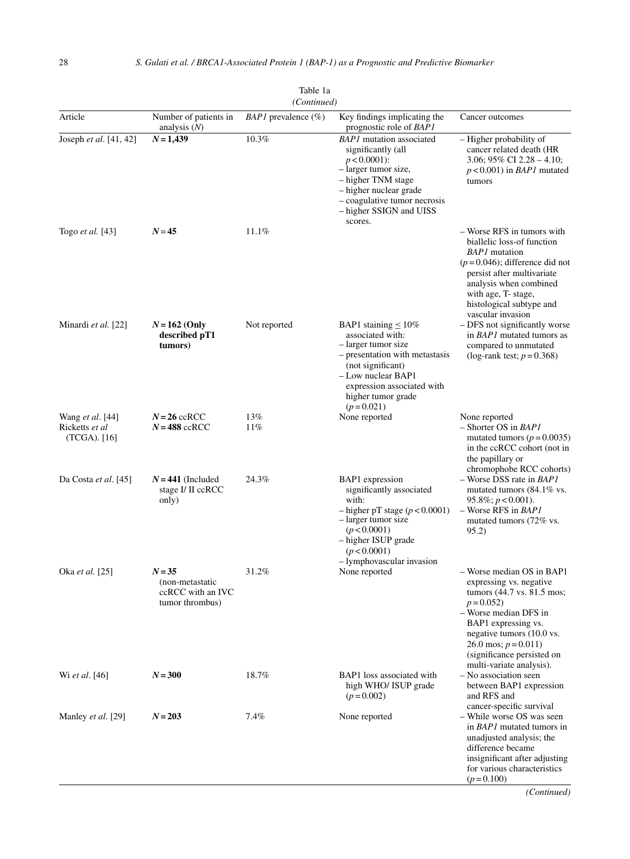| ravic ra<br>(Continued)                            |                                                                     |                          |                                                                                                                                                                                                                       |                                                                                                                                                                                                                                                                     |  |
|----------------------------------------------------|---------------------------------------------------------------------|--------------------------|-----------------------------------------------------------------------------------------------------------------------------------------------------------------------------------------------------------------------|---------------------------------------------------------------------------------------------------------------------------------------------------------------------------------------------------------------------------------------------------------------------|--|
| Article                                            | Number of patients in<br>analysis $(N)$                             | $BAPI$ prevalence $(\%)$ | Key findings implicating the<br>prognostic role of BAP1                                                                                                                                                               | Cancer outcomes                                                                                                                                                                                                                                                     |  |
| Joseph et al. [41, 42]                             | $N = 1,439$                                                         | 10.3%                    | <b>BAP1</b> mutation associated<br>significantly (all<br>$p < 0.0001$ :<br>- larger tumor size,<br>– higher TNM stage<br>- higher nuclear grade<br>- coagulative tumor necrosis<br>- higher SSIGN and UISS<br>scores. | – Higher probability of<br>cancer related death (HR<br>3.06; 95% CI 2.28 – 4.10;<br>$p < 0.001$ ) in <i>BAP1</i> mutated<br>tumors                                                                                                                                  |  |
| Togo et al. [43]                                   | $N = 45$                                                            | 11.1%                    |                                                                                                                                                                                                                       | - Worse RFS in tumors with<br>biallelic loss-of function<br><b>BAP1</b> mutation<br>$(p=0.046)$ ; difference did not<br>persist after multivariate<br>analysis when combined<br>with age, T- stage,<br>histological subtype and<br>vascular invasion                |  |
| Minardi et al. [22]                                | $N = 162$ (Only<br>described pT1<br>tumors)                         | Not reported             | BAP1 staining $\leq 10\%$<br>associated with:<br>- larger tumor size<br>- presentation with metastasis<br>(not significant)<br>- Low nuclear BAP1<br>expression associated with<br>higher tumor grade<br>$(p=0.021)$  | - DFS not significantly worse<br>in <i>BAP1</i> mutated tumors as<br>compared to unmutated<br>(log-rank test; $p = 0.368$ )                                                                                                                                         |  |
| Wang et al. [44]<br>Ricketts et al<br>(TCGA). [16] | $N = 26$ ccRCC<br>$N = 488$ ccRCC                                   | 13%<br>11%               | None reported                                                                                                                                                                                                         | None reported<br>$-$ Shorter OS in BAP1<br>mutated tumors ( $p = 0.0035$ )<br>in the ccRCC cohort (not in<br>the papillary or<br>chromophobe RCC cohorts)                                                                                                           |  |
| Da Costa et al. [45]                               | $N = 441$ (Included<br>stage I/ II ccRCC<br>only)                   | 24.3%                    | BAP1 expression<br>significantly associated<br>with:<br>$-$ higher pT stage ( $p < 0.0001$ )<br>– larger tumor size<br>(p < 0.0001)<br>- higher ISUP grade<br>(p < 0.0001)<br>- lymphovascular invasion               | $-$ Worse DSS rate in <i>BAP1</i><br>mutated tumors (84.1% vs.<br>$95.8\%; p < 0.001$ ).<br>$-$ Worse RFS in <i>BAP1</i><br>mutated tumors (72% vs.<br>95.2)                                                                                                        |  |
| Oka <i>et al.</i> [25]                             | $N = 35$<br>(non-metastatic<br>ccRCC with an IVC<br>tumor thrombus) | 31.2%                    | None reported                                                                                                                                                                                                         | - Worse median OS in BAP1<br>expressing vs. negative<br>tumors (44.7 vs. 81.5 mos;<br>$p = 0.052$<br>- Worse median DFS in<br>BAP1 expressing vs.<br>negative tumors (10.0 vs.<br>26.0 mos; $p = 0.011$ )<br>(significance persisted on<br>multi-variate analysis). |  |
| Wi et al. [46]                                     | $N = 300$                                                           | 18.7%                    | BAP1 loss associated with<br>high WHO/ ISUP grade<br>$(p=0.002)$                                                                                                                                                      | - No association seen<br>between BAP1 expression<br>and RFS and<br>cancer-specific survival                                                                                                                                                                         |  |
| Manley et al. [29]                                 | $N = 203$                                                           | 7.4%                     | None reported                                                                                                                                                                                                         | - While worse OS was seen<br>in <i>BAP1</i> mutated tumors in<br>unadjusted analysis; the<br>difference became<br>insignificant after adjusting<br>for various characteristics<br>$(p=0.100)$                                                                       |  |

| Table 1a  |  |  |
|-----------|--|--|
| Continued |  |  |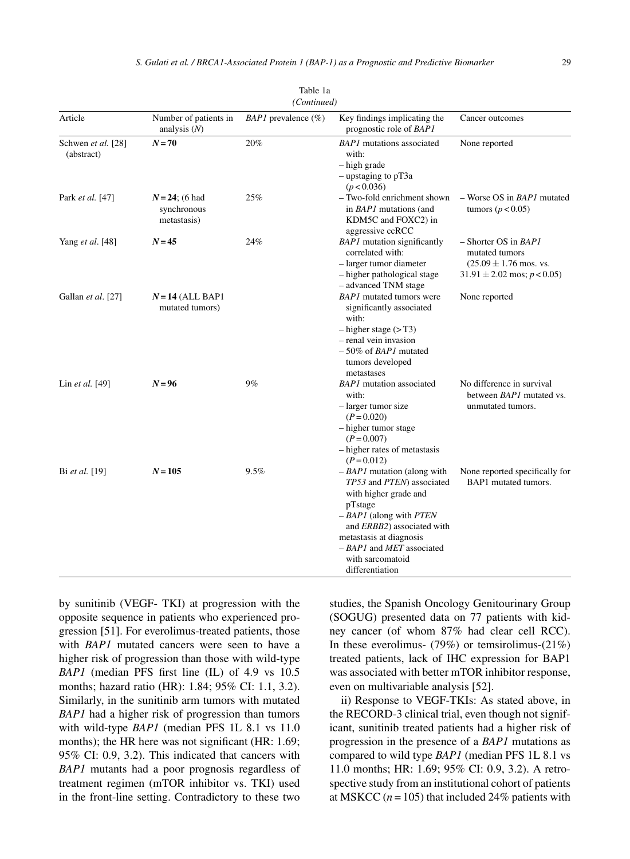| (Continued)                      |                                                 |                          |                                                                                                                                                                                                                                                                 |                                                                                                                     |  |
|----------------------------------|-------------------------------------------------|--------------------------|-----------------------------------------------------------------------------------------------------------------------------------------------------------------------------------------------------------------------------------------------------------------|---------------------------------------------------------------------------------------------------------------------|--|
| Article                          | Number of patients in<br>analysis $(N)$         | $BAPI$ prevalence $(\%)$ | Key findings implicating the<br>prognostic role of BAP1                                                                                                                                                                                                         | Cancer outcomes                                                                                                     |  |
| Schwen et al. [28]<br>(abstract) | $N=70$                                          | 20%                      | <b>BAP1</b> mutations associated<br>with:<br>- high grade<br>$-$ upstaging to pT3a<br>(p < 0.036)                                                                                                                                                               | None reported                                                                                                       |  |
| Park <i>et al.</i> [47]          | $N = 24$ ; (6 had<br>synchronous<br>metastasis) | 25%                      | - Two-fold enrichment shown<br>in <i>BAP1</i> mutations (and<br>KDM5C and FOXC2) in<br>aggressive ccRCC                                                                                                                                                         | $-$ Worse OS in <i>BAP1</i> mutated<br>tumors ( $p < 0.05$ )                                                        |  |
| Yang et al. [48]                 | $N = 45$                                        | 24%                      | <b>BAP1</b> mutation significantly<br>correlated with:<br>- larger tumor diameter<br>- higher pathological stage<br>- advanced TNM stage                                                                                                                        | $-$ Shorter OS in <i>BAP1</i><br>mutated tumors<br>$(25.09 \pm 1.76$ mos. vs.<br>$31.91 \pm 2.02$ mos; $p < 0.05$ ) |  |
| Gallan et al. [27]               | $N = 14$ (ALL BAP1<br>mutated tumors)           |                          | <b>BAP1</b> mutated tumors were<br>significantly associated<br>with:<br>$-$ higher stage ( $>$ T3)<br>- renal vein invasion<br>$-50\%$ of <i>BAP1</i> mutated<br>tumors developed<br>metastases                                                                 | None reported                                                                                                       |  |
| Lin et al. [49]                  | $N = 96$                                        | 9%                       | <b>BAP1</b> mutation associated<br>with:<br>- larger tumor size<br>$(P = 0.020)$<br>- higher tumor stage<br>$(P = 0.007)$<br>- higher rates of metastasis<br>$(P = 0.012)$                                                                                      | No difference in survival<br>between <i>BAP1</i> mutated vs.<br>unmutated tumors.                                   |  |
| Bi et al. [19]                   | $N = 105$                                       | 9.5%                     | $-BAPI$ mutation (along with<br>TP53 and PTEN) associated<br>with higher grade and<br>pTstage<br>$-BAPI$ (along with <i>PTEN</i><br>and ERBB2) associated with<br>metastasis at diagnosis<br>$-$ BAP1 and MET associated<br>with sarcomatoid<br>differentiation | None reported specifically for<br>BAP1 mutated tumors.                                                              |  |

Table 1a

by sunitinib (VEGF- TKI) at progression with the opposite sequence in patients who experienced progression [51]. For everolimus-treated patients, those with *BAP1* mutated cancers were seen to have a higher risk of progression than those with wild-type *BAP1* (median PFS first line (IL) of 4.9 vs 10.5 months; hazard ratio (HR): 1.84; 95% CI: 1.1, 3.2). Similarly, in the sunitinib arm tumors with mutated *BAP1* had a higher risk of progression than tumors with wild-type *BAP1* (median PFS 1L 8.1 vs 11.0 months); the HR here was not significant (HR: 1.69; 95% CI: 0.9, 3.2). This indicated that cancers with *BAP1* mutants had a poor prognosis regardless of treatment regimen (mTOR inhibitor vs. TKI) used in the front-line setting. Contradictory to these two studies, the Spanish Oncology Genitourinary Group (SOGUG) presented data on 77 patients with kidney cancer (of whom 87% had clear cell RCC). In these everolimus-  $(79\%)$  or temsirolimus- $(21\%)$ treated patients, lack of IHC expression for BAP1 was associated with better mTOR inhibitor response, even on multivariable analysis [52].

ii) Response to VEGF-TKIs: As stated above, in the RECORD-3 clinical trial, even though not significant, sunitinib treated patients had a higher risk of progression in the presence of a *BAP1* mutations as compared to wild type *BAP1* (median PFS 1L 8.1 vs 11.0 months; HR: 1.69; 95% CI: 0.9, 3.2). A retrospective study from an institutional cohort of patients at MSKCC  $(n = 105)$  that included 24% patients with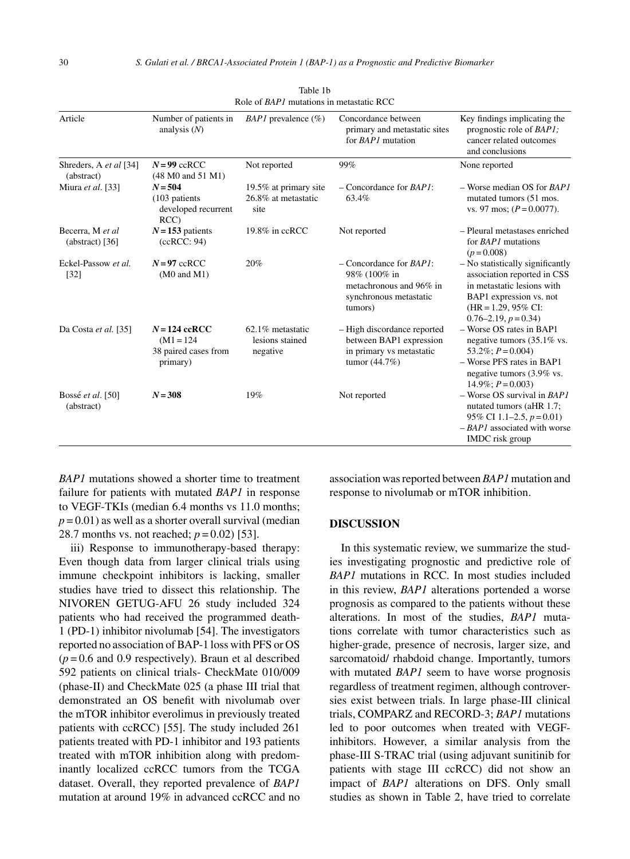|                                       |                                                                     | Role of <i>BAP1</i> mutations in metastatic RCC      |                                                                                                                   |                                                                                                                                                                                            |
|---------------------------------------|---------------------------------------------------------------------|------------------------------------------------------|-------------------------------------------------------------------------------------------------------------------|--------------------------------------------------------------------------------------------------------------------------------------------------------------------------------------------|
| Article                               | Number of patients in<br>analysis $(N)$                             | <i>BAP1</i> prevalence $(\%)$                        | Concordance between<br>primary and metastatic sites<br>for BAP1 mutation                                          | Key findings implicating the<br>prognostic role of <i>BAP1</i> ;<br>cancer related outcomes<br>and conclusions                                                                             |
| Shreders, A et al [34]<br>(abstract)  | $N = 99$ ccRCC<br>$(48 \text{ M0 and } 51 \text{ M1})$              | Not reported                                         | 99%                                                                                                               | None reported                                                                                                                                                                              |
| Miura et al. [33]                     | $N = 504$<br>$(103$ patients<br>developed recurrent<br>RCC          | 19.5% at primary site<br>26.8% at metastatic<br>site | $-$ Concordance for $BAPI$ :<br>63.4%                                                                             | $-$ Worse median OS for <i>BAP1</i><br>mutated tumors (51 mos.<br>vs. 97 mos; $(P = 0.0077)$ .                                                                                             |
| Becerra, M et al<br>$(abstract)$ [36] | $N = 153$ patients<br>(ccRCC: 94)                                   | $19.8\%$ in ccRCC                                    | Not reported                                                                                                      | - Pleural metastases enriched<br>for BAP1 mutations<br>$(p=0.008)$                                                                                                                         |
| Eckel-Passow et al.<br>$[32]$         | $N = 97$ ccRCC<br>$(M0 \text{ and } M1)$                            | 20%                                                  | $-$ Concordance for <i>BAP1</i> :<br>98% (100% in<br>metachronous and 96% in<br>synchronous metastatic<br>tumors) | - No statistically significantly<br>association reported in CSS<br>in metastatic lesions with<br>BAP1 expression vs. not<br>$(HR = 1.29, 95\% \text{ CI}:$<br>$0.76 - 2.19$ , $p = 0.34$ ) |
| Da Costa et al. [35]                  | $N = 124$ ccRCC<br>$(M1 = 124)$<br>38 paired cases from<br>primary) | 62.1% metastatic<br>lesions stained<br>negative      | - High discordance reported<br>between BAP1 expression<br>in primary vs metastatic<br>tumor $(44.7%)$             | - Worse OS rates in BAP1<br>negative tumors (35.1% vs.<br>53.2%; $P = 0.004$ )<br>- Worse PFS rates in BAP1<br>negative tumors (3.9% vs.<br>$14.9\%$ ; $P = 0.003$ )                       |
| Bossé et al. [50]<br>(abstract)       | $N = 308$                                                           | 19%                                                  | Not reported                                                                                                      | $-$ Worse OS survival in $BAPI$<br>nutated tumors (aHR 1.7;<br>95\% CI 1.1-2.5, $p = 0.01$ )<br>$-$ BAP1 associated with worse<br>IMDC risk group                                          |

Table 1b Role of *BAP1* mutations in metastatic RCC

*BAP1* mutations showed a shorter time to treatment failure for patients with mutated *BAP1* in response to VEGF-TKIs (median 6.4 months vs 11.0 months;  $p = 0.01$ ) as well as a shorter overall survival (median 28.7 months vs. not reached; *p* = 0.02) [53].

iii) Response to immunotherapy-based therapy: Even though data from larger clinical trials using immune checkpoint inhibitors is lacking, smaller studies have tried to dissect this relationship. The NIVOREN GETUG-AFU 26 study included 324 patients who had received the programmed death-1 (PD-1) inhibitor nivolumab [54]. The investigators reported no association of BAP-1 loss with PFS or OS  $(p=0.6$  and 0.9 respectively). Braun et al described 592 patients on clinical trials- CheckMate 010/009 (phase-II) and CheckMate 025 (a phase III trial that demonstrated an OS benefit with nivolumab over the mTOR inhibitor everolimus in previously treated patients with ccRCC) [55]. The study included 261 patients treated with PD-1 inhibitor and 193 patients treated with mTOR inhibition along with predominantly localized ccRCC tumors from the TCGA dataset. Overall, they reported prevalence of *BAP1* mutation at around 19% in advanced ccRCC and no

association was reported between *BAP1* mutation and response to nivolumab or mTOR inhibition.

# **DISCUSSION**

In this systematic review, we summarize the studies investigating prognostic and predictive role of *BAP1* mutations in RCC. In most studies included in this review, *BAP1* alterations portended a worse prognosis as compared to the patients without these alterations. In most of the studies, *BAP1* mutations correlate with tumor characteristics such as higher-grade, presence of necrosis, larger size, and sarcomatoid/ rhabdoid change. Importantly, tumors with mutated *BAP1* seem to have worse prognosis regardless of treatment regimen, although controversies exist between trials. In large phase-III clinical trials, COMPARZ and RECORD-3; *BAP1* mutations led to poor outcomes when treated with VEGFinhibitors. However, a similar analysis from the phase-III S-TRAC trial (using adjuvant sunitinib for patients with stage III ccRCC) did not show an impact of *BAP1* alterations on DFS. Only small studies as shown in Table 2, have tried to correlate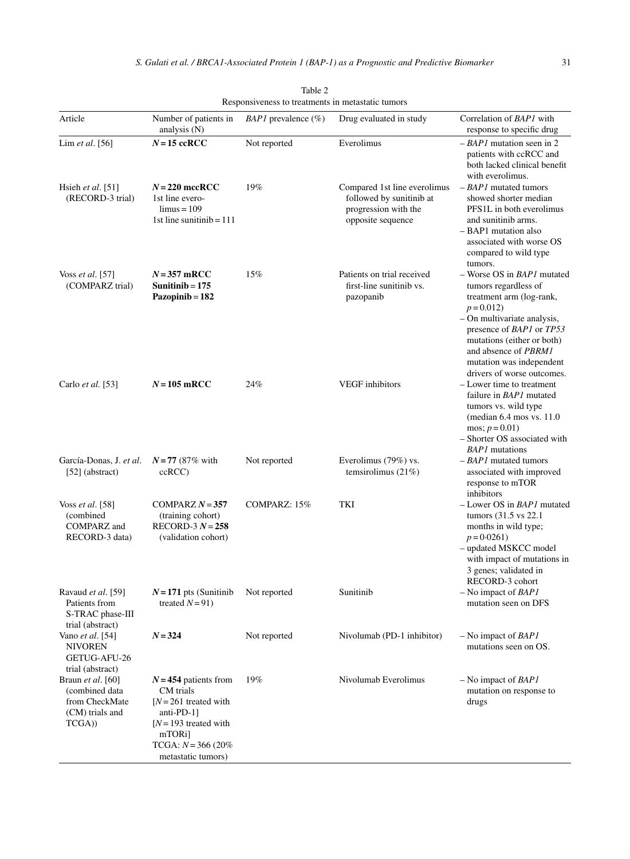|                                                                                   |                                                                                                                                                                    | Responsiveness to treatments in metastatic tumors |                                                                                                       |                                                                                                                                                                                                                                                                                                 |
|-----------------------------------------------------------------------------------|--------------------------------------------------------------------------------------------------------------------------------------------------------------------|---------------------------------------------------|-------------------------------------------------------------------------------------------------------|-------------------------------------------------------------------------------------------------------------------------------------------------------------------------------------------------------------------------------------------------------------------------------------------------|
| Article                                                                           | Number of patients in<br>analysis $(N)$                                                                                                                            | <i>BAP1</i> prevalence $(\%)$                     | Drug evaluated in study                                                                               | Correlation of BAP1 with<br>response to specific drug                                                                                                                                                                                                                                           |
| Lim et al. [56]                                                                   | $N = 15$ ccRCC                                                                                                                                                     | Not reported                                      | Everolimus                                                                                            | $-$ BAP1 mutation seen in 2<br>patients with ccRCC and<br>both lacked clinical benefit<br>with everolimus.                                                                                                                                                                                      |
| Hsieh et al. $[51]$<br>(RECORD-3 trial)                                           | $N = 220$ mccRCC<br>1st line evero-<br>$\limus = 109$<br>1st line sunitinib = $111$                                                                                | 19%                                               | Compared 1st line everolimus<br>followed by sunitinib at<br>progression with the<br>opposite sequence | $-BAPI$ mutated tumors<br>showed shorter median<br>PFS <sub>1</sub> L in both everolimus<br>and sunitinib arms.<br>- BAP1 mutation also<br>associated with worse OS<br>compared to wild type<br>tumors.                                                                                         |
| Voss et al. $[57]$<br>(COMPARZ trial)                                             | $N = 357$ mRCC<br>Sunitinib $= 175$<br>Pazopinib = 182                                                                                                             | 15%                                               | Patients on trial received<br>first-line sunitinib vs.<br>pazopanib                                   | - Worse OS in <i>BAP1</i> mutated<br>tumors regardless of<br>treatment arm (log-rank,<br>$p = 0.012$<br>$-$ On multivariate analysis,<br>presence of <i>BAP1</i> or <i>TP53</i><br>mutations (either or both)<br>and absence of PBRM1<br>mutation was independent<br>drivers of worse outcomes. |
| Carlo et al. [53]                                                                 | $N = 105$ mRCC                                                                                                                                                     | 24%                                               | <b>VEGF</b> inhibitors                                                                                | $-I$ ower time to treatment<br>failure in BAP1 mutated<br>tumors vs. wild type<br>(median $6.4$ mos vs. $11.0$ )<br>mos; $p = 0.01$ )<br>- Shorter OS associated with<br><b>BAP1</b> mutations                                                                                                  |
| García-Donas, J. et al.<br>$[52]$ (abstract)                                      | $N = 77$ (87% with<br>ccRCC                                                                                                                                        | Not reported                                      | Everolimus (79%) vs.<br>temsirolimus $(21\%)$                                                         | $-BAPI$ mutated tumors<br>associated with improved<br>response to mTOR<br>inhibitors                                                                                                                                                                                                            |
| Voss et al. [58]<br>(combined<br>COMPARZ and<br>RECORD-3 data)                    | COMPARZ $N = 357$<br>(training cohort)<br>RECORD-3 $N = 258$<br>(validation cohort)                                                                                | COMPARZ: 15%                                      | TKI                                                                                                   | - Lower OS in <i>BAP1</i> mutated<br>tumors (31.5 vs 22.1)<br>months in wild type;<br>$p = 0.0261$<br>- updated MSKCC model<br>with impact of mutations in<br>3 genes; validated in<br>RECORD-3 cohort                                                                                          |
| Ravaud et al. [59]<br>Patients from<br>S-TRAC phase-III<br>trial (abstract)       | $N = 171$ pts (Sunitinib<br>treated $N=91$ )                                                                                                                       | Not reported                                      | Sunitinib                                                                                             | $-$ No impact of <i>BAP1</i><br>mutation seen on DFS                                                                                                                                                                                                                                            |
| Vano <i>et al.</i> [54]<br><b>NIVOREN</b><br>GETUG-AFU-26<br>trial (abstract)     | $N = 324$                                                                                                                                                          | Not reported                                      | Nivolumab (PD-1 inhibitor)                                                                            | $-$ No impact of <i>BAP1</i><br>mutations seen on OS.                                                                                                                                                                                                                                           |
| Braun et al. [60]<br>(combined data<br>from CheckMate<br>(CM) trials and<br>TCGA) | $N = 454$ patients from<br>CM trials<br>$[N=261$ treated with<br>anti-PD- $1$ ]<br>$[N=193$ treated with<br>mTORi]<br>TCGA: $N = 366 (20\%)$<br>metastatic tumors) | 19%                                               | Nivolumab Everolimus                                                                                  | $-$ No impact of <i>BAP1</i><br>mutation on response to<br>drugs                                                                                                                                                                                                                                |

Table 2 Responsiveness to treatments in metastatic tumors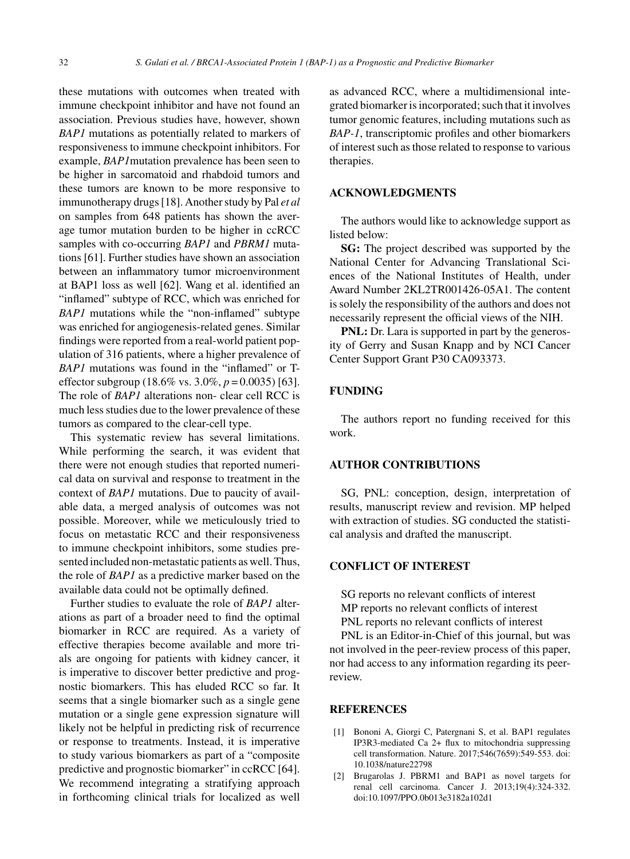these mutations with outcomes when treated with immune checkpoint inhibitor and have not found an association. Previous studies have, however, shown *BAP1* mutations as potentially related to markers of responsiveness to immune checkpoint inhibitors. For example, *BAP1*mutation prevalence has been seen to be higher in sarcomatoid and rhabdoid tumors and these tumors are known to be more responsive to immunotherapy drugs [18]. Another study by Pal *et al* on samples from 648 patients has shown the average tumor mutation burden to be higher in ccRCC samples with co-occurring *BAP1* and *PBRM1* mutations [61]. Further studies have shown an association between an inflammatory tumor microenvironment at BAP1 loss as well [62]. Wang et al. identified an "inflamed" subtype of RCC, which was enriched for *BAP1* mutations while the "non-inflamed" subtype was enriched for angiogenesis-related genes. Similar findings were reported from a real-world patient population of 316 patients, where a higher prevalence of *BAP1* mutations was found in the "inflamed" or Teffector subgroup (18.6% vs. 3.0%, *p* = 0.0035) [63]. The role of *BAP1* alterations non- clear cell RCC is much less studies due to the lower prevalence of these tumors as compared to the clear-cell type.

This systematic review has several limitations. While performing the search, it was evident that there were not enough studies that reported numerical data on survival and response to treatment in the context of *BAP1* mutations. Due to paucity of available data, a merged analysis of outcomes was not possible. Moreover, while we meticulously tried to focus on metastatic RCC and their responsiveness to immune checkpoint inhibitors, some studies presented included non-metastatic patients as well. Thus, the role of *BAP1* as a predictive marker based on the available data could not be optimally defined.

Further studies to evaluate the role of *BAP1* alterations as part of a broader need to find the optimal biomarker in RCC are required. As a variety of effective therapies become available and more trials are ongoing for patients with kidney cancer, it is imperative to discover better predictive and prognostic biomarkers. This has eluded RCC so far. It seems that a single biomarker such as a single gene mutation or a single gene expression signature will likely not be helpful in predicting risk of recurrence or response to treatments. Instead, it is imperative to study various biomarkers as part of a "composite predictive and prognostic biomarker" in ccRCC [64]. We recommend integrating a stratifying approach in forthcoming clinical trials for localized as well

as advanced RCC, where a multidimensional integrated biomarker is incorporated; such that it involves tumor genomic features, including mutations such as *BAP-1*, transcriptomic profiles and other biomarkers of interest such as those related to response to various therapies.

# **ACKNOWLEDGMENTS**

The authors would like to acknowledge support as listed below:

**SG:** The project described was supported by the National Center for Advancing Translational Sciences of the National Institutes of Health, under Award Number 2KL2TR001426-05A1. The content is solely the responsibility of the authors and does not necessarily represent the official views of the NIH.

**PNL:** Dr. Lara is supported in part by the generosity of Gerry and Susan Knapp and by NCI Cancer Center Support Grant P30 CA093373.

# **FUNDING**

The authors report no funding received for this work.

#### **AUTHOR CONTRIBUTIONS**

SG, PNL: conception, design, interpretation of results, manuscript review and revision. MP helped with extraction of studies. SG conducted the statistical analysis and drafted the manuscript.

#### **CONFLICT OF INTEREST**

SG reports no relevant conflicts of interest MP reports no relevant conflicts of interest PNL reports no relevant conflicts of interest

PNL is an Editor-in-Chief of this journal, but was not involved in the peer-review process of this paper, nor had access to any information regarding its peerreview.

#### **REFERENCES**

- [1] Bononi A, Giorgi C, Patergnani S, et al. BAP1 regulates IP3R3-mediated Ca 2+ flux to mitochondria suppressing cell transformation. Nature. 2017;546(7659):549-553. doi: 10.1038/nature22798
- [2] Brugarolas J. PBRM1 and BAP1 as novel targets for renal cell carcinoma. Cancer J. 2013;19(4):324-332. doi:10.1097/PPO.0b013e3182a102d1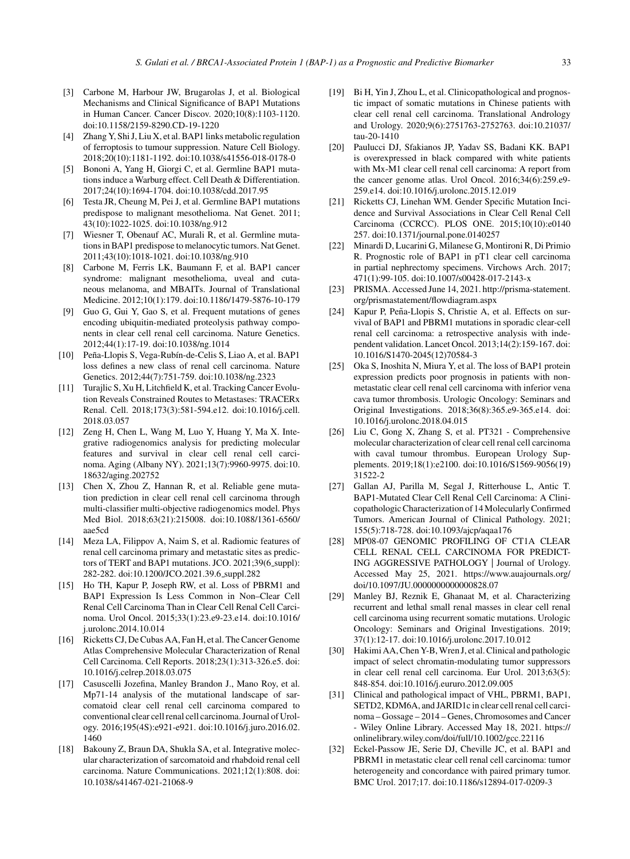- [3] Carbone M, Harbour JW, Brugarolas J, et al. Biological Mechanisms and Clinical Significance of BAP1 Mutations in Human Cancer. Cancer Discov. 2020;10(8):1103-1120. doi:10.1158/2159-8290.CD-19-1220
- [4] Zhang Y, Shi J, Liu X, et al. BAP1 links metabolic regulation of ferroptosis to tumour suppression. Nature Cell Biology. 2018;20(10):1181-1192. doi:10.1038/s41556-018-0178-0
- [5] Bononi A, Yang H, Giorgi C, et al. Germline BAP1 mutations induce a Warburg effect. Cell Death & Differentiation. 2017;24(10):1694-1704. doi:10.1038/cdd.2017.95
- [6] Testa JR, Cheung M, Pei J, et al. Germline BAP1 mutations predispose to malignant mesothelioma. Nat Genet. 2011; 43(10):1022-1025. doi:10.1038/ng.912
- [7] Wiesner T, Obenauf AC, Murali R, et al. Germline mutations in BAP1 predispose to melanocytic tumors. Nat Genet. 2011;43(10):1018-1021. doi:10.1038/ng.910
- [8] Carbone M, Ferris LK, Baumann F, et al. BAP1 cancer syndrome: malignant mesothelioma, uveal and cutaneous melanoma, and MBAITs. Journal of Translational Medicine. 2012;10(1):179. doi:10.1186/1479-5876-10-179
- [9] Guo G, Gui Y, Gao S, et al. Frequent mutations of genes encoding ubiquitin-mediated proteolysis pathway components in clear cell renal cell carcinoma. Nature Genetics. 2012;44(1):17-19. doi:10.1038/ng.1014
- [10] Peña-Llopis S, Vega-Rubín-de-Celis S, Liao A, et al. BAP1 loss defines a new class of renal cell carcinoma. Nature Genetics. 2012;44(7):751-759. doi:10.1038/ng.2323
- [11] Turajlic S, Xu H, Litchfield K, et al. Tracking Cancer Evolution Reveals Constrained Routes to Metastases: TRACERx Renal. Cell. 2018;173(3):581-594.e12. doi:10.1016/j.cell. 2018.03.057
- [12] Zeng H, Chen L, Wang M, Luo Y, Huang Y, Ma X. Integrative radiogenomics analysis for predicting molecular features and survival in clear cell renal cell carcinoma. Aging (Albany NY). 2021;13(7):9960-9975. doi:10. 18632/aging.202752
- [13] Chen X, Zhou Z, Hannan R, et al. Reliable gene mutation prediction in clear cell renal cell carcinoma through multi-classifier multi-objective radiogenomics model. Phys Med Biol. 2018;63(21):215008. doi:10.1088/1361-6560/ aae5cd
- [14] Meza LA, Filippov A, Naim S, et al. Radiomic features of renal cell carcinoma primary and metastatic sites as predictors of TERT and BAP1 mutations. JCO. 2021;39(6\_suppl): 282-282. doi:10.1200/JCO.2021.39.6 suppl.282
- [15] Ho TH, Kapur P, Joseph RW, et al. Loss of PBRM1 and BAP1 Expression Is Less Common in Non–Clear Cell Renal Cell Carcinoma Than in Clear Cell Renal Cell Carcinoma. Urol Oncol. 2015;33(1):23.e9-23.e14. doi:10.1016/ j.urolonc.2014.10.014
- [16] Ricketts CJ, De Cubas AA, Fan H, et al. The Cancer Genome Atlas Comprehensive Molecular Characterization of Renal Cell Carcinoma. Cell Reports. 2018;23(1):313-326.e5. doi: 10.1016/j.celrep.2018.03.075
- [17] Casuscelli Jozefina, Manley Brandon J., Mano Roy, et al. Mp71-14 analysis of the mutational landscape of sarcomatoid clear cell renal cell carcinoma compared to conventional clear cell renal cell carcinoma. Journal of Urology. 2016;195(4S):e921-e921. doi:10.1016/j.juro.2016.02. 1460
- [18] Bakouny Z, Braun DA, Shukla SA, et al. Integrative molecular characterization of sarcomatoid and rhabdoid renal cell carcinoma. Nature Communications. 2021;12(1):808. doi: 10.1038/s41467-021-21068-9
- [19] Bi H, Yin J, Zhou L, et al. Clinicopathological and prognostic impact of somatic mutations in Chinese patients with clear cell renal cell carcinoma. Translational Andrology and Urology. 2020;9(6):2751763-2752763. doi:10.21037/ tau-20-1410
- [20] Paulucci DJ, Sfakianos JP, Yadav SS, Badani KK. BAP1 is overexpressed in black compared with white patients with Mx-M1 clear cell renal cell carcinoma: A report from the cancer genome atlas. Urol Oncol. 2016;34(6):259.e9- 259.e14. doi:10.1016/j.urolonc.2015.12.019
- [21] Ricketts CJ, Linehan WM. Gender Specific Mutation Incidence and Survival Associations in Clear Cell Renal Cell Carcinoma (CCRCC). PLOS ONE. 2015;10(10):e0140 257. doi:10.1371/journal.pone.0140257
- [22] Minardi D, Lucarini G, Milanese G, Montironi R, Di Primio R. Prognostic role of BAP1 in pT1 clear cell carcinoma in partial nephrectomy specimens. Virchows Arch. 2017; 471(1):99-105. doi:10.1007/s00428-017-2143-x
- [23] PRISMA. Accessed June 14, 2021. [http://prisma-statement.](http://prisma-statement.org/prismastatement/flowdiagram.aspx) org/prismastatement/flowdiagram.aspx
- [24] Kapur P, Peña-Llopis S, Christie A, et al. Effects on survival of BAP1 and PBRM1 mutations in sporadic clear-cell renal cell carcinoma: a retrospective analysis with independent validation. Lancet Oncol. 2013;14(2):159-167. doi: 10.1016/S1470-2045(12)70584-3
- [25] Oka S, Inoshita N, Miura Y, et al. The loss of BAP1 protein expression predicts poor prognosis in patients with nonmetastatic clear cell renal cell carcinoma with inferior vena cava tumor thrombosis. Urologic Oncology: Seminars and Original Investigations. 2018;36(8):365.e9-365.e14. doi: 10.1016/j.urolonc.2018.04.015
- [26] Liu C, Gong X, Zhang S, et al. PT321 Comprehensive molecular characterization of clear cell renal cell carcinoma with caval tumour thrombus. European Urology Supplements. 2019;18(1):e2100. doi:10.1016/S1569-9056(19) 31522-2
- [27] Gallan AJ, Parilla M, Segal J, Ritterhouse L, Antic T. BAP1-Mutated Clear Cell Renal Cell Carcinoma: A Clinicopathologic Characterization of 14 Molecularly Confirmed Tumors. American Journal of Clinical Pathology. 2021; 155(5):718-728. doi:10.1093/ajcp/aqaa176
- [28] MP08-07 GENOMIC PROFILING OF CT1A CLEAR CELL RENAL CELL CARCINOMA FOR PREDICT-ING AGGRESSIVE PATHOLOGY | Journal of Urology. Accessed May 25, 2021. [https://www.auajournals.org/](https://www.auajournals.org/doi/10.1097/JU.0000000000000828.07) doi/10.1097/JU.0000000000000828.07
- [29] Manley BJ, Reznik E, Ghanaat M, et al. Characterizing recurrent and lethal small renal masses in clear cell renal cell carcinoma using recurrent somatic mutations. Urologic Oncology: Seminars and Original Investigations. 2019; 37(1):12-17. doi:10.1016/j.urolonc.2017.10.012
- [30] Hakimi AA, Chen Y-B, Wren J, et al. Clinical and pathologic impact of select chromatin-modulating tumor suppressors in clear cell renal cell carcinoma. Eur Urol. 2013;63(5): 848-854. doi:10.1016/j.eururo.2012.09.005
- [31] Clinical and pathological impact of VHL, PBRM1, BAP1, SETD2, KDM6A, and JARID1c in clear cell renal cell carcinoma – Gossage – 2014 – Genes, Chromosomes and Cancer - Wiley Online Library. Accessed May 18, 2021. [https://](https://onlinelibrary.wiley.com/doi/full/10.1002/gcc.22116) onlinelibrary.wiley.com/doi/full/10.1002/gcc.22116
- [32] Eckel-Passow JE, Serie DJ, Cheville JC, et al. BAP1 and PBRM1 in metastatic clear cell renal cell carcinoma: tumor heterogeneity and concordance with paired primary tumor. BMC Urol. 2017;17. doi:10.1186/s12894-017-0209-3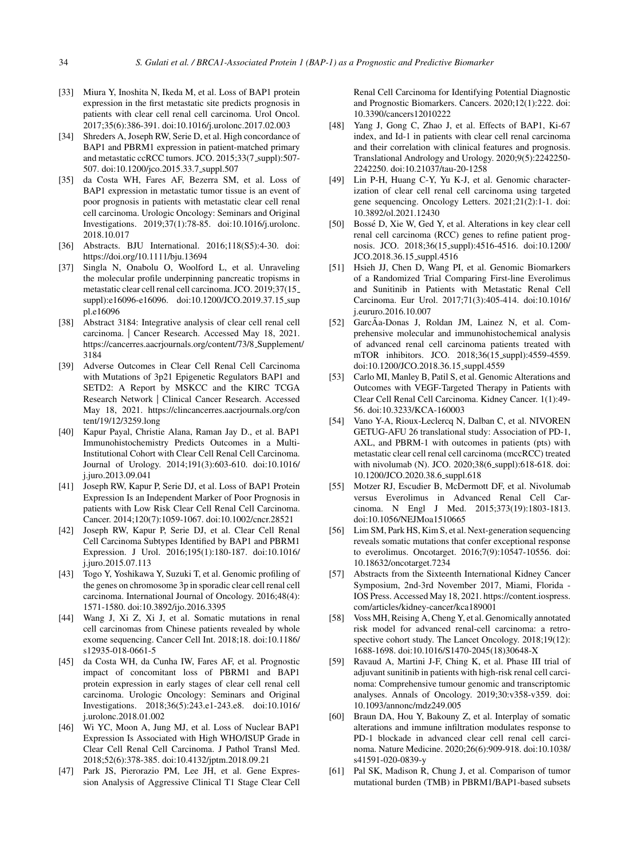- [33] Miura Y, Inoshita N, Ikeda M, et al. Loss of BAP1 protein expression in the first metastatic site predicts prognosis in patients with clear cell renal cell carcinoma. Urol Oncol. 2017;35(6):386-391. doi:10.1016/j.urolonc.2017.02.003
- [34] Shreders A, Joseph RW, Serie D, et al. High concordance of BAP1 and PBRM1 expression in patient-matched primary and metastatic ccRCC tumors. JCO. 2015;33(7\_suppl):507-507. doi:10.1200/jco.2015.33.7 suppl.507
- [35] da Costa WH, Fares AF, Bezerra SM, et al. Loss of BAP1 expression in metastatic tumor tissue is an event of poor prognosis in patients with metastatic clear cell renal cell carcinoma. Urologic Oncology: Seminars and Original Investigations. 2019;37(1):78-85. doi:10.1016/j.urolonc. 2018.10.017
- [36] Abstracts. BJU International. 2016;118(S5):4-30. doi: <https://doi.org/10.1111/bju.13694>
- [37] Singla N, Onabolu O, Woolford L, et al. Unraveling the molecular profile underpinning pancreatic tropisms in metastatic clear cell renal cell carcinoma. JCO. 2019;37(15 suppl):e16096-e16096. doi:10.1200/JCO.2019.37.15\_sup pl.e16096
- [38] Abstract 3184: Integrative analysis of clear cell renal cell carcinoma. | Cancer Research. Accessed May 18, 2021. [https://cancerres.aacrjournals.org/content/73/8](https://cancerres.aacrjournals.org/content/73/8_Supplement/3184) Supplement/ 3184
- [39] Adverse Outcomes in Clear Cell Renal Cell Carcinoma with Mutations of 3p21 Epigenetic Regulators BAP1 and SETD2: A Report by MSKCC and the KIRC TCGA Research Network | Clinical Cancer Research. Accessed May 18, 2021. [https://clincancerres.aacrjournals.org/con](https://clincancerres.aacrjournals.org/content/19/12/3259.long) tent/19/12/3259.long
- [40] Kapur Payal, Christie Alana, Raman Jay D., et al. BAP1 Immunohistochemistry Predicts Outcomes in a Multi-Institutional Cohort with Clear Cell Renal Cell Carcinoma. Journal of Urology. 2014;191(3):603-610. doi:10.1016/ j.juro.2013.09.041
- [41] Joseph RW, Kapur P, Serie DJ, et al. Loss of BAP1 Protein Expression Is an Independent Marker of Poor Prognosis in patients with Low Risk Clear Cell Renal Cell Carcinoma. Cancer. 2014;120(7):1059-1067. doi:10.1002/cncr.28521
- [42] Joseph RW, Kapur P, Serie DJ, et al. Clear Cell Renal Cell Carcinoma Subtypes Identified by BAP1 and PBRM1 Expression. J Urol. 2016;195(1):180-187. doi:10.1016/ j.juro.2015.07.113
- [43] Togo Y, Yoshikawa Y, Suzuki T, et al. Genomic profiling of the genes on chromosome 3p in sporadic clear cell renal cell carcinoma. International Journal of Oncology. 2016;48(4): 1571-1580. doi:10.3892/ijo.2016.3395
- [44] Wang J, Xi Z, Xi J, et al. Somatic mutations in renal cell carcinomas from Chinese patients revealed by whole exome sequencing. Cancer Cell Int. 2018;18. doi:10.1186/ s12935-018-0661-5
- [45] da Costa WH, da Cunha IW, Fares AF, et al. Prognostic impact of concomitant loss of PBRM1 and BAP1 protein expression in early stages of clear cell renal cell carcinoma. Urologic Oncology: Seminars and Original Investigations. 2018;36(5):243.e1-243.e8. doi:10.1016/ j.urolonc.2018.01.002
- [46] Wi YC, Moon A, Jung MJ, et al. Loss of Nuclear BAP1 Expression Is Associated with High WHO/ISUP Grade in Clear Cell Renal Cell Carcinoma. J Pathol Transl Med. 2018;52(6):378-385. doi:10.4132/jptm.2018.09.21
- [47] Park JS, Pierorazio PM, Lee JH, et al. Gene Expression Analysis of Aggressive Clinical T1 Stage Clear Cell

Renal Cell Carcinoma for Identifying Potential Diagnostic and Prognostic Biomarkers. Cancers. 2020;12(1):222. doi: 10.3390/cancers12010222

- [48] Yang J, Gong C, Zhao J, et al. Effects of BAP1, Ki-67 index, and Id-1 in patients with clear cell renal carcinoma and their correlation with clinical features and prognosis. Translational Andrology and Urology. 2020;9(5):2242250- 2242250. doi:10.21037/tau-20-1258
- [49] Lin P-H, Huang C-Y, Yu K-J, et al. Genomic characterization of clear cell renal cell carcinoma using targeted gene sequencing. Oncology Letters. 2021;21(2):1-1. doi: 10.3892/ol.2021.12430
- [50] Bosse D, Xie W, Ged Y, et al. Alterations in key clear cell ´ renal cell carcinoma (RCC) genes to refine patient prognosis. JCO. 2018;36(15 suppl):4516-4516. doi:10.1200/ JCO.2018.36.15 suppl.4516
- [51] Hsieh JJ, Chen D, Wang PI, et al. Genomic Biomarkers of a Randomized Trial Comparing First-line Everolimus and Sunitinib in Patients with Metastatic Renal Cell Carcinoma. Eur Urol. 2017;71(3):405-414. doi:10.1016/ j.eururo.2016.10.007
- [52] GarcÃa-Donas J, Roldan JM, Lainez N, et al. Comprehensive molecular and immunohistochemical analysis of advanced renal cell carcinoma patients treated with mTOR inhibitors. JCO. 2018;36(15 suppl):4559-4559. doi:10.1200/JCO.2018.36.15 suppl.4559
- [53] Carlo MI, Manley B, Patil S, et al. Genomic Alterations and Outcomes with VEGF-Targeted Therapy in Patients with Clear Cell Renal Cell Carcinoma. Kidney Cancer. 1(1):49- 56. doi:10.3233/KCA-160003
- [54] Vano Y-A, Rioux-Leclercq N, Dalban C, et al. NIVOREN GETUG-AFU 26 translational study: Association of PD-1, AXL, and PBRM-1 with outcomes in patients (pts) with metastatic clear cell renal cell carcinoma (mccRCC) treated with nivolumab (N). JCO. 2020;38(6\_suppl):618-618. doi: 10.1200/JCO.2020.38.6 suppl.618
- [55] Motzer RJ, Escudier B, McDermott DF, et al. Nivolumab versus Everolimus in Advanced Renal Cell Carcinoma. N Engl J Med. 2015;373(19):1803-1813. doi:10.1056/NEJMoa1510665
- [56] Lim SM, Park HS, Kim S, et al. Next-generation sequencing reveals somatic mutations that confer exceptional response to everolimus. Oncotarget. 2016;7(9):10547-10556. doi: 10.18632/oncotarget.7234
- [57] Abstracts from the Sixteenth International Kidney Cancer Symposium, 2nd-3rd November 2017, Miami, Florida - IOS Press. Accessed May 18, 2021. [https://content.iospress.](https://content.iospress.com/articles/kidney-cancer/kca189001) com/articles/kidney-cancer/kca189001
- [58] Voss MH, Reising A, Cheng Y, et al. Genomically annotated risk model for advanced renal-cell carcinoma: a retrospective cohort study. The Lancet Oncology. 2018;19(12): 1688-1698. doi:10.1016/S1470-2045(18)30648-X
- [59] Ravaud A, Martini J-F, Ching K, et al. Phase III trial of adjuvant sunitinib in patients with high-risk renal cell carcinoma: Comprehensive tumour genomic and transcriptomic analyses. Annals of Oncology. 2019;30:v358-v359. doi: 10.1093/annonc/mdz249.005
- [60] Braun DA, Hou Y, Bakouny Z, et al. Interplay of somatic alterations and immune infiltration modulates response to PD-1 blockade in advanced clear cell renal cell carcinoma. Nature Medicine. 2020;26(6):909-918. doi:10.1038/ s41591-020-0839-y
- [61] Pal SK, Madison R, Chung J, et al. Comparison of tumor mutational burden (TMB) in PBRM1/BAP1-based subsets